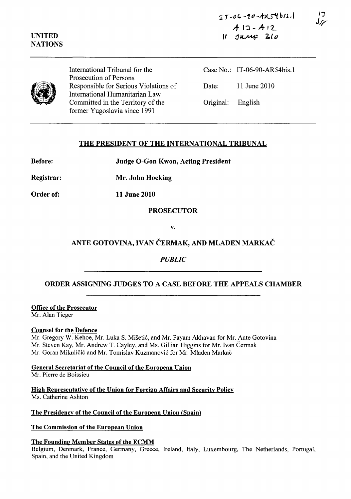:r *T* ~O **r. -1"** -A1<-~ **bl1./**   $A13 - A12$  $II$   $J$ u $M$ <sup> $2$ </sup> $lo$ 

**)3 J/i'** 

### **UNITED NATIONS**



International Tribunal for the Prosecution of Persons Responsible for Serious Violations of International Humanitarian Law Committed in the Territory of the former Yugoslavia since 1991

Case No.: IT-06-90-ARS4bis.l Date: 11 June 2010 Original: English

## **THE PRESIDENT OF THE INTERNATIONAL TRIBUNAL**

**Before: Judge O-Gon Kwon, Acting President** 

**Registrar: Mr. John Hocking** 

**Order of: 11 June 2010** 

**PROSECUTOR** 

**v.** 

## **ANTE GOTOVINA, IV AN CERMAK, AND MLADEN MARKAC**

# *PUBLIC*

# **ORDER ASSIGNING JUDGES TO A CASE BEFORE THE APPEALS CHAMBER**

**Office of the Prosecutor**  Mr. Alan Tieger

### **Counsel for the Defence**

Mr. Gregory W. Kehoe, Mr. Luka S. Misetic, and Mr. Payam Akhavan for Mr. Ante Gotovina Mr. Steven Kay, Mr. Andrew T. Cayley, and Ms. Gillian Higgins for Mr. Ivan Čermak Mr. Goran Mikuličić and Mr. Tomislav Kuzmanović for Mr. Mladen Markač

**General Secretariat** of the **Council** of the **European Union**  Mr. Pierre de Boissieu

**High Representative** of the **Union for Foreign Affairs and Security Policy**  Ms. Catherine Ashton

### **The Presidency of the Council of the European Union (Spain)**

**The Commission of the European Union** 

### **The Founding Member States of the ECMM**

Belgium, Denmark, France, Germany, Greece, Ireland, Italy, Luxembourg, The Netherlands, Portugal, Spain, and the United Kingdom